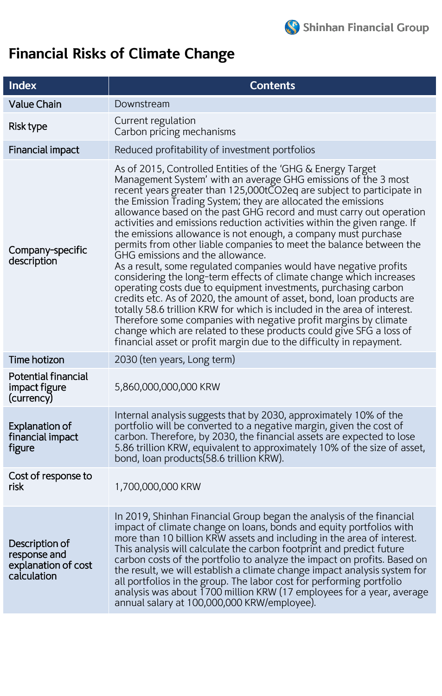

## **Financial Risks of Climate Change**

| <b>Index</b>                                                         | <b>Contents</b>                                                                                                                                                                                                                                                                                                                                                                                                                                                                                                                                                                                                                                                                                                                                                                                                                                                                                                                                                                                                                                                                                                                                                                                |  |  |  |  |  |
|----------------------------------------------------------------------|------------------------------------------------------------------------------------------------------------------------------------------------------------------------------------------------------------------------------------------------------------------------------------------------------------------------------------------------------------------------------------------------------------------------------------------------------------------------------------------------------------------------------------------------------------------------------------------------------------------------------------------------------------------------------------------------------------------------------------------------------------------------------------------------------------------------------------------------------------------------------------------------------------------------------------------------------------------------------------------------------------------------------------------------------------------------------------------------------------------------------------------------------------------------------------------------|--|--|--|--|--|
| <b>Value Chain</b>                                                   | Downstream                                                                                                                                                                                                                                                                                                                                                                                                                                                                                                                                                                                                                                                                                                                                                                                                                                                                                                                                                                                                                                                                                                                                                                                     |  |  |  |  |  |
| Risk type                                                            | Current regulation<br>Carbon pricing mechanisms                                                                                                                                                                                                                                                                                                                                                                                                                                                                                                                                                                                                                                                                                                                                                                                                                                                                                                                                                                                                                                                                                                                                                |  |  |  |  |  |
| Financial impact                                                     | Reduced profitability of investment portfolios                                                                                                                                                                                                                                                                                                                                                                                                                                                                                                                                                                                                                                                                                                                                                                                                                                                                                                                                                                                                                                                                                                                                                 |  |  |  |  |  |
| Company-specific<br>description                                      | As of 2015, Controlled Entities of the 'GHG & Energy Target<br>Management System' with an average GHG emissions of the 3 most<br>recent years greater than 125,000tCO2eq are subject to participate in<br>the Emission Trading System; they are allocated the emissions<br>allowance based on the past GHG record and must carry out operation<br>activities and emissions reduction activities within the given range. If<br>the emissions allowance is not enough, a company must purchase<br>permits from other liable companies to meet the balance between the<br>GHG emissions and the allowance.<br>As a result, some regulated companies would have negative profits<br>considering the long-term effects of climate change which increases<br>operating costs due to equipment investments, purchasing carbon<br>credits etc. As of 2020, the amount of asset, bond, loan products are<br>totally 58.6 trillion KRW for which is included in the area of interest.<br>Therefore some companies with negative profit margins by climate<br>change which are related to these products could give SFG a loss of<br>financial asset or profit margin due to the difficulty in repayment. |  |  |  |  |  |
| Time hotizon                                                         | 2030 (ten years, Long term)                                                                                                                                                                                                                                                                                                                                                                                                                                                                                                                                                                                                                                                                                                                                                                                                                                                                                                                                                                                                                                                                                                                                                                    |  |  |  |  |  |
| <b>Potential financial</b><br>impact figure<br>(currency)            | 5,860,000,000,000 KRW                                                                                                                                                                                                                                                                                                                                                                                                                                                                                                                                                                                                                                                                                                                                                                                                                                                                                                                                                                                                                                                                                                                                                                          |  |  |  |  |  |
| <b>Explanation of</b><br>financial impact<br>figure                  | Internal analysis suggests that by 2030, approximately 10% of the<br>portfolio will be converted to a negative margin, given the cost of<br>carbon. Therefore, by 2030, the financial assets are expected to lose<br>5.86 trillion KRW, equivalent to approximately 10% of the size of asset,<br>bond, loan products (58.6 trillion KRW).                                                                                                                                                                                                                                                                                                                                                                                                                                                                                                                                                                                                                                                                                                                                                                                                                                                      |  |  |  |  |  |
| Cost of response to<br>risk                                          | 1,700,000,000 KRW                                                                                                                                                                                                                                                                                                                                                                                                                                                                                                                                                                                                                                                                                                                                                                                                                                                                                                                                                                                                                                                                                                                                                                              |  |  |  |  |  |
| Description of<br>response and<br>explanation of cost<br>calculation | In 2019, Shinhan Financial Group began the analysis of the financial<br>impact of climate change on loans, bonds and equity portfolios with<br>more than 10 billion KRW assets and including in the area of interest.<br>This analysis will calculate the carbon footprint and predict future<br>carbon costs of the portfolio to analyze the impact on profits. Based on<br>the result, we will establish a climate change impact analysis system for<br>all portfolios in the group. The labor cost for performing portfolio<br>analysis was about 1700 million KRW (17 employees for a year, average<br>annual salary at 100,000,000 KRW/employee).                                                                                                                                                                                                                                                                                                                                                                                                                                                                                                                                         |  |  |  |  |  |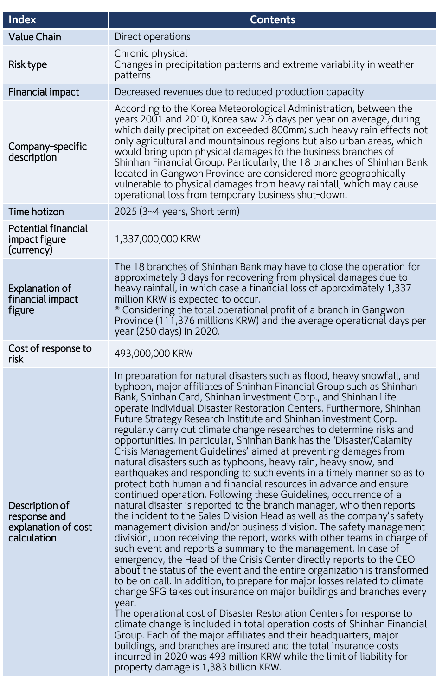| <b>Index</b>                                                         | <b>Contents</b>                                                                                                                                                                                                                                                                                                                                                                                                                                                                                                                                                                                                                                                                                                                                                                                                                                                                                                                                                                                                                                                                                                                                                                                                                                                                                                                                                                                                                                                                                                                                                                                                                                                                                                                                                                                                                                                                                                                                                                 |  |  |  |  |
|----------------------------------------------------------------------|---------------------------------------------------------------------------------------------------------------------------------------------------------------------------------------------------------------------------------------------------------------------------------------------------------------------------------------------------------------------------------------------------------------------------------------------------------------------------------------------------------------------------------------------------------------------------------------------------------------------------------------------------------------------------------------------------------------------------------------------------------------------------------------------------------------------------------------------------------------------------------------------------------------------------------------------------------------------------------------------------------------------------------------------------------------------------------------------------------------------------------------------------------------------------------------------------------------------------------------------------------------------------------------------------------------------------------------------------------------------------------------------------------------------------------------------------------------------------------------------------------------------------------------------------------------------------------------------------------------------------------------------------------------------------------------------------------------------------------------------------------------------------------------------------------------------------------------------------------------------------------------------------------------------------------------------------------------------------------|--|--|--|--|
| <b>Value Chain</b>                                                   | Direct operations                                                                                                                                                                                                                                                                                                                                                                                                                                                                                                                                                                                                                                                                                                                                                                                                                                                                                                                                                                                                                                                                                                                                                                                                                                                                                                                                                                                                                                                                                                                                                                                                                                                                                                                                                                                                                                                                                                                                                               |  |  |  |  |
| Risk type                                                            | Chronic physical<br>Changes in precipitation patterns and extreme variability in weather<br>patterns                                                                                                                                                                                                                                                                                                                                                                                                                                                                                                                                                                                                                                                                                                                                                                                                                                                                                                                                                                                                                                                                                                                                                                                                                                                                                                                                                                                                                                                                                                                                                                                                                                                                                                                                                                                                                                                                            |  |  |  |  |
| Financial impact                                                     | Decreased revenues due to reduced production capacity                                                                                                                                                                                                                                                                                                                                                                                                                                                                                                                                                                                                                                                                                                                                                                                                                                                                                                                                                                                                                                                                                                                                                                                                                                                                                                                                                                                                                                                                                                                                                                                                                                                                                                                                                                                                                                                                                                                           |  |  |  |  |
| Company-specific<br>description                                      | According to the Korea Meteorological Administration, between the<br>years 2001 and 2010, Korea saw 2.6 days per year on average, during<br>which daily precipitation exceeded 800mm; such heavy rain effects not<br>only agricultural and mountainous regions but also urban areas, which<br>would bring upon physical damages to the business branches of<br>Shinhan Financial Group. Particularly, the 18 branches of Shinhan Bank<br>located in Gangwon Province are considered more geographically<br>vulnerable to physical damages from heavy rainfall, which may cause<br>operational loss from temporary business shut-down.                                                                                                                                                                                                                                                                                                                                                                                                                                                                                                                                                                                                                                                                                                                                                                                                                                                                                                                                                                                                                                                                                                                                                                                                                                                                                                                                           |  |  |  |  |
| Time hotizon                                                         | 2025 $(3~4$ years, Short term)                                                                                                                                                                                                                                                                                                                                                                                                                                                                                                                                                                                                                                                                                                                                                                                                                                                                                                                                                                                                                                                                                                                                                                                                                                                                                                                                                                                                                                                                                                                                                                                                                                                                                                                                                                                                                                                                                                                                                  |  |  |  |  |
| <b>Potential financial</b><br>impact figure<br>(currency)            | 1,337,000,000 KRW                                                                                                                                                                                                                                                                                                                                                                                                                                                                                                                                                                                                                                                                                                                                                                                                                                                                                                                                                                                                                                                                                                                                                                                                                                                                                                                                                                                                                                                                                                                                                                                                                                                                                                                                                                                                                                                                                                                                                               |  |  |  |  |
| <b>Explanation of</b><br>financial impact<br>figure                  | The 18 branches of Shinhan Bank may have to close the operation for<br>approximately 3 days for recovering from physical damages due to<br>heavy rainfall, in which case a financial loss of approximately 1,337<br>million KRW is expected to occur.<br>* Considering the total operational profit of a branch in Gangwon<br>Province (111,376 milllions KRW) and the average operational days per<br>year (250 days) in 2020.                                                                                                                                                                                                                                                                                                                                                                                                                                                                                                                                                                                                                                                                                                                                                                                                                                                                                                                                                                                                                                                                                                                                                                                                                                                                                                                                                                                                                                                                                                                                                 |  |  |  |  |
| Cost of response to<br>risk                                          | 493,000,000 KRW                                                                                                                                                                                                                                                                                                                                                                                                                                                                                                                                                                                                                                                                                                                                                                                                                                                                                                                                                                                                                                                                                                                                                                                                                                                                                                                                                                                                                                                                                                                                                                                                                                                                                                                                                                                                                                                                                                                                                                 |  |  |  |  |
| Description of<br>response and<br>explanation of cost<br>calculation | In preparation for natural disasters such as flood, heavy snowfall, and<br>typhoon, major affiliates of Shinhan Financial Group such as Shinhan<br>Bank, Shinhan Card, Shinhan investment Corp., and Shinhan Life<br>operate individual Disaster Restoration Centers. Furthermore, Shinhan<br>Future Strategy Research Institute and Shinhan investment Corp.<br>regularly carry out climate change researches to determine risks and<br>opportunities. In particular, Shinhan Bank has the 'Disaster/Calamity<br>Crisis Management Guidelines' aimed at preventing damages from<br>natural disasters such as typhoons, heavy rain, heavy snow, and<br>earthquakes and responding to such events in a timely manner so as to<br>protect both human and financial resources in advance and ensure<br>continued operation. Following these Guidelines, occurrence of a<br>natural disaster is reported to the branch manager, who then reports<br>the incident to the Sales Division Head as well as the company's safety<br>management division and/or business division. The safety management<br>division, upon receiving the report, works with other teams in charge of<br>such event and reports a summary to the management. In case of<br>emergency, the Head of the Crisis Center directly reports to the CEO<br>about the status of the event and the entire organization is transformed<br>to be on call. In addition, to prepare for major losses related to climate<br>change SFG takes out insurance on major buildings and branches every<br>year.<br>The operational cost of Disaster Restoration Centers for response to<br>climate change is included in total operation costs of Shinhan Financial<br>Group. Each of the major affiliates and their headquarters, major<br>buildings, and branches are insured and the total insurance costs<br>incurred in 2020 was 493 million KRW while the limit of liability for<br>property damage is 1,383 billion KRW. |  |  |  |  |